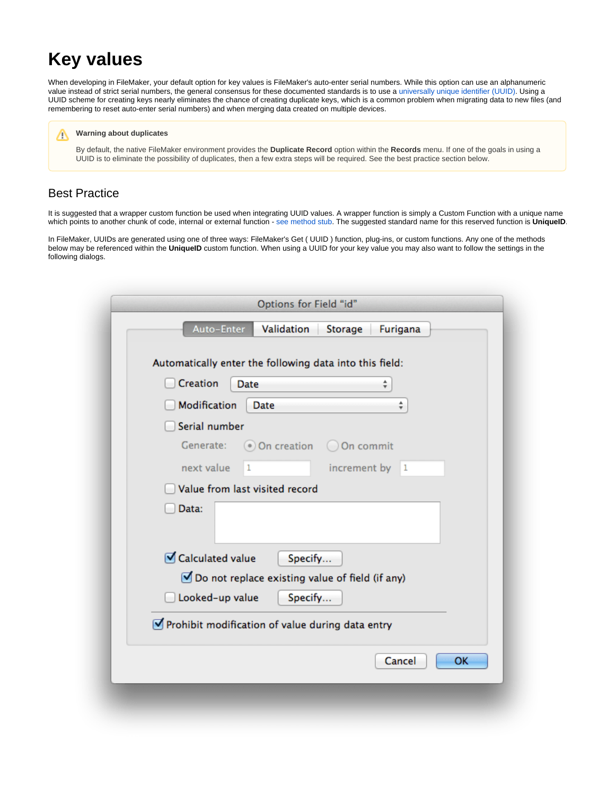# **Key values**

When developing in FileMaker, your default option for key values is FileMaker's auto-enter serial numbers. While this option can use an alphanumeric value instead of strict serial numbers, the general consensus for these documented standards is to use a [universally unique identifier \(UUID\)](http://en.wikipedia.org/wiki/Universally_unique_identifier). Using a UUID scheme for creating keys nearly eliminates the chance of creating duplicate keys, which is a common problem when migrating data to new files (and remembering to reset auto-enter serial numbers) and when merging data created on multiple devices.

#### **Warning about duplicates**

By default, the native FileMaker environment provides the **Duplicate Record** option within the **Records** menu. If one of the goals in using a UUID is to eliminate the possibility of duplicates, then a few extra steps will be required. See the best practice section below.

# Best Practice

Λ

It is suggested that a wrapper custom function be used when integrating UUID values. A wrapper function is simply a Custom Function with a unique name which points to another chunk of code, internal or external function - [see method stub.](http://en.wikipedia.org/wiki/Method_stub) The suggested standard name for this reserved function is **UniqueID**.

In FileMaker, UUIDs are generated using one of three ways: FileMaker's Get ( UUID ) function, plug-ins, or custom functions. Any one of the methods below may be referenced within the **UniqueID** custom function. When using a UUID for your key value you may also want to follow the settings in the following dialogs.

|                     | Automatically enter the following data into this field:      |                |   |
|---------------------|--------------------------------------------------------------|----------------|---|
| Creation            | Date                                                         | ÷              |   |
| <b>Modification</b> | Date                                                         |                | ÷ |
| Serial number       |                                                              |                |   |
| Generate:           | ⊙ On creation ○ On commit                                    |                |   |
| next value          | 1                                                            | increment by 1 |   |
|                     | Value from last visited record                               |                |   |
| Data:               |                                                              |                |   |
| ○ Calculated value  | Specify<br>○ Do not replace existing value of field (if any) |                |   |
| Looked-up value     | Specify                                                      |                |   |
|                     | Prohibit modification of value during data entry             |                |   |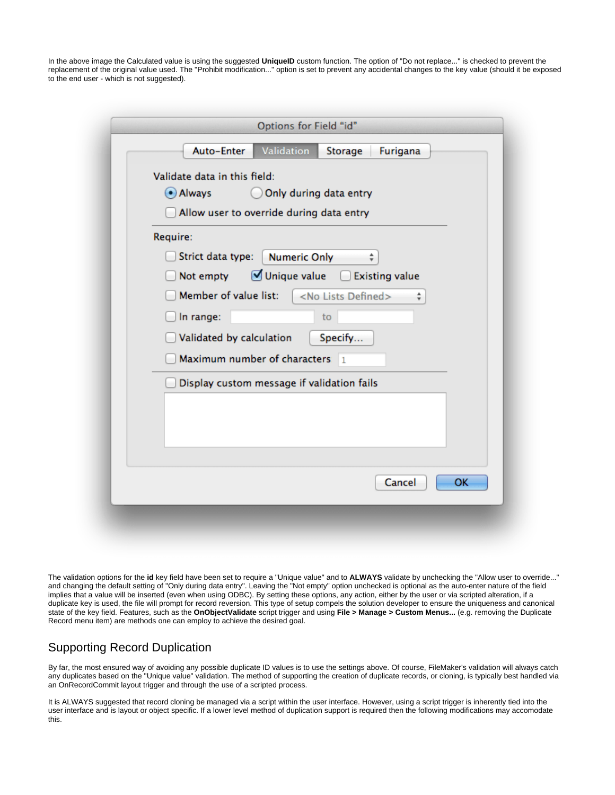In the above image the Calculated value is using the suggested **UniqueID** custom function. The option of "Do not replace..." is checked to prevent the replacement of the original value used. The "Prohibit modification..." option is set to prevent any accidental changes to the key value (should it be exposed to the end user - which is not suggested).

| Validation<br>Auto-Enter<br>Storage<br>Furigana              |     |
|--------------------------------------------------------------|-----|
| Validate data in this field:                                 |     |
| Only during data entry<br>$\odot$ Always                     |     |
| Allow user to override during data entry                     |     |
| Require:                                                     |     |
| Strict data type:<br><b>Numeric Only</b><br>÷                |     |
| Unique value<br><b>Existing value</b><br>Not empty           |     |
| Member of value list:<br><no defined="" lists=""><br/>÷</no> |     |
| In range:<br>to                                              |     |
| Validated by calculation<br>Specify                          |     |
| Maximum number of characters<br>$\overline{1}$               |     |
| Display custom message if validation fails                   |     |
|                                                              |     |
|                                                              |     |
|                                                              |     |
|                                                              |     |
| Cancel                                                       | OK. |

The validation options for the **id** key field have been set to require a "Unique value" and to **ALWAYS** validate by unchecking the "Allow user to override..." and changing the default setting of "Only during data entry". Leaving the "Not empty" option unchecked is optional as the auto-enter nature of the field implies that a value will be inserted (even when using ODBC). By setting these options, any action, either by the user or via scripted alteration, if a duplicate key is used, the file will prompt for record reversion. This type of setup compels the solution developer to ensure the uniqueness and canonical state of the key field. Features, such as the **OnObjectValidate** script trigger and using **File > Manage > Custom Menus...** (e.g. removing the Duplicate Record menu item) are methods one can employ to achieve the desired goal.

# Supporting Record Duplication

By far, the most ensured way of avoiding any possible duplicate ID values is to use the settings above. Of course, FileMaker's validation will always catch any duplicates based on the "Unique value" validation. The method of supporting the creation of duplicate records, or cloning, is typically best handled via an OnRecordCommit layout trigger and through the use of a scripted process.

It is ALWAYS suggested that record cloning be managed via a script within the user interface. However, using a script trigger is inherently tied into the user interface and is layout or object specific. If a lower level method of duplication support is required then the following modifications may accomodate this.